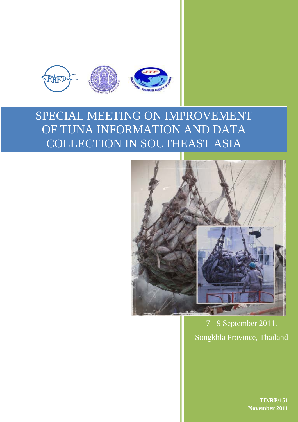

# SPECIAL MEETING ON IMPROVEMENT OF TUNA INFORMATION AND DATA COLLECTION IN SOUTHEAST ASIA



7 - 9 September 2011, Songkhla Province, Thailand

> **TD/RP/151 November 2011**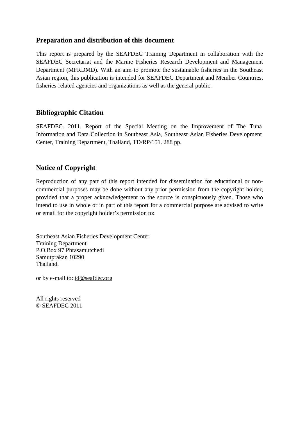# **Preparation and distribution of this document**

This report is prepared by the SEAFDEC Training Department in collaboration with the SEAFDEC Secretariat and the Marine Fisheries Research Development and Management Department (MFRDMD). With an aim to promote the sustainable fisheries in the Southeast Asian region, this publication is intended for SEAFDEC Department and Member Countries, fisheries-related agencies and organizations as well as the general public.

# **Bibliographic Citation**

SEAFDEC. 2011. Report of the Special Meeting on the Improvement of The Tuna Information and Data Collection in Southeast Asia, Southeast Asian Fisheries Development Center, Training Department, Thailand, TD/RP/151. 288 pp.

# **Notice of Copyright**

Reproduction of any part of this report intended for dissemination for educational or noncommercial purposes may be done without any prior permission from the copyright holder, provided that a proper acknowledgement to the source is conspicuously given. Those who intend to use in whole or in part of this report for a commercial purpose are advised to write or email for the copyright holder's permission to:

Southeast Asian Fisheries Development Center Training Department P.O.Box 97 Phrasamutchedi Samutprakan 10290 Thailand.

or by e-mail to: [td@seafdec.org](mailto:td@seafdec.org)

All rights reserved © SEAFDEC 2011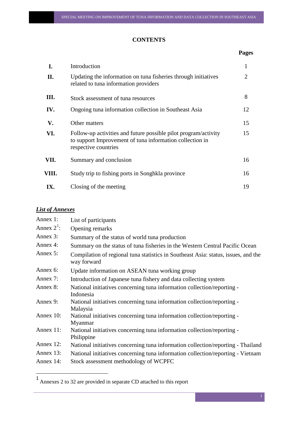# **CONTENTS**

# **Pages**

| I.    | Introduction                                                                                                                                        |    |
|-------|-----------------------------------------------------------------------------------------------------------------------------------------------------|----|
| П.    | Updating the information on tuna fisheries through initiatives<br>related to tuna information providers                                             |    |
| III.  | Stock assessment of tuna resources                                                                                                                  | 8  |
| IV.   | Ongoing tuna information collection in Southeast Asia                                                                                               | 12 |
| V.    | Other matters                                                                                                                                       | 15 |
| VI.   | Follow-up activities and future possible pilot program/activity<br>to support Improvement of tuna information collection in<br>respective countries | 15 |
| VII.  | Summary and conclusion                                                                                                                              | 16 |
| VIII. | Study trip to fishing ports in Songhkla province                                                                                                    | 16 |
| IX.   | Closing of the meeting                                                                                                                              | 19 |

# *List of Annexes*

| Annex 1:      | List of participants                                                                              |
|---------------|---------------------------------------------------------------------------------------------------|
| Annex $2^1$ : | Opening remarks                                                                                   |
| Annex 3:      | Summary of the status of world tuna production                                                    |
| Annex 4:      | Summary on the status of tuna fisheries in the Western Central Pacific Ocean                      |
| Annex 5:      | Compilation of regional tuna statistics in Southeast Asia: status, issues, and the<br>way forward |
| Annex 6:      | Update information on ASEAN tuna working group                                                    |
| Annex 7:      | Introduction of Japanese tuna fishery and data collecting system                                  |
| Annex 8:      | National initiatives concerning tuna information collection/reporting -<br>Indonesia              |
| Annex 9:      | National initiatives concerning tuna information collection/reporting -<br>Malaysia               |
| Annex 10:     | National initiatives concerning tuna information collection/reporting -<br>Myanmar                |
| Annex 11:     | National initiatives concerning tuna information collection/reporting -<br>Philippine             |
| Annex 12:     | National initiatives concerning tuna information collection/reporting - Thailand                  |
| Annex $13$ :  | National initiatives concerning tuna information collection/reporting - Vietnam                   |
| Annex 14:     | Stock assessment methodology of WCPFC                                                             |

<span id="page-4-0"></span> <sup>1</sup> Annexes 2 to 32 are provided in separate CD attached to this report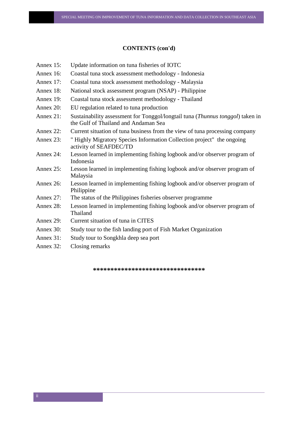#### **CONTENTS (con'd)**

- Annex 15: Update information on tuna fisheries of IOTC
- Annex 16: Coastal tuna stock assessment methodology Indonesia
- Annex 17: Coastal tuna stock assessment methodology Malaysia
- Annex 18: National stock assessment program (NSAP) Philippine
- Annex 19: Coastal tuna stock assessment methodology Thailand
- Annex 20: EU regulation related to tuna production
- Annex 21: Sustainability assessment for Tonggol/longtail tuna (*Thunnus tonggol*) taken in the Gulf of Thailand and Andaman Sea
- Annex 22: Current situation of tuna business from the view of tuna processing company
- Annex 23: " Highly Migratory Species Information Collection project" the ongoing activity of SEAFDEC/TD
- Annex 24: Lesson learned in implementing fishing logbook and/or observer program of Indonesia
- Annex 25: Lesson learned in implementing fishing logbook and/or observer program of Malaysia
- Annex 26: Lesson learned in implementing fishing logbook and/or observer program of Philippine
- Annex 27: The status of the Philippines fisheries observer programme
- Annex 28: Lesson learned in implementing fishing logbook and/or observer program of Thailand
- Annex 29: Current situation of tuna in CITES
- Annex 30: Study tour to the fish landing port of Fish Market Organization
- Annex 31: Study tour to Songkhla deep sea port
- Annex 32: Closing remarks

\*\*\*\*\*\*\*\*\*\*\*\*\*\*\*\*\*\*\*\*\*\*\*\*\*\*\*\*\*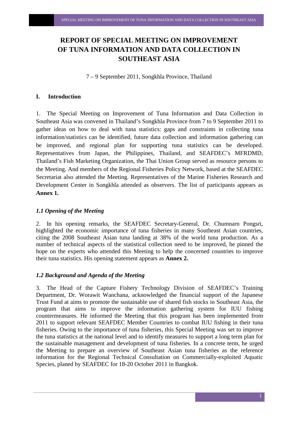# **REPORT OF SPECIAL MEETING ON IMPROVEMENT OF TUNA INFORMATION AND DATA COLLECTION IN SOUTHEAST ASIA**

7 – 9 September 2011, Songkhla Province, Thailand

#### **I. Introduction**

1. The Special Meeting on Improvement of Tuna Information and Data Collection in Southeast Asia was convened in Thailand's Songkhla Province from 7 to 9 September 2011 to gather ideas on how to deal with tuna statistics: gaps and constraints in collecting tuna information/statistics can be identified, future data collection and information gathering can be improved, and regional plan for supporting tuna statistics can be developed. Representatives from Japan, the Philippines, Thailand, and SEAFDEC's MFRDMD, Thailand's Fish Marketing Organization, the Thai Union Group served as resource persons to the Meeting. And members of the Regional Fisheries Policy Network, based at the SEAFDEC Secretariat also attended the Meeting. Representatives of the Marine Fisheries Research and Development Center in Songkhla attended as observers. The list of participants appears as **Annex 1.**

#### *1.1 Opening of the Meeting*

2. In his opening remarks, the SEAFDEC Secretary-General, Dr. Chumnarn Pongsri, highlighted the economic importance of tuna fisheries in many Southeast Asian countries, citing the 2008 Southeast Asian tuna landing at 38% of the world tuna production. As a number of technical aspects of the statistical collection need to be improved, he pinned the hope on the experts who attended this Meeting to help the concerned countries to improve their tuna statistics. His opening statement appears as **Annex 2.**

#### *1.2 Background and Agenda of the Meeting*

3. The Head of the Capture Fishery Technology Division of SEAFDEC's Training Department, Dr. Worawit Wanchana, acknowledged the financial support of the Japanese Trust Fund at aims to promote the sustainable use of shared fish stocks in Southeast Asia, the program that aims to improve the information gathering system for IUU fishing countermeasures. He informed the Meeting that this program has been implemented from 2011 to support relevant SEAFDEC Member Countries to combat IUU fishing in their tuna fisheries. Owing to the importance of tuna fisheries, this Special Meeting was set to improve the tuna statistics at the national level and to identify measures to support a long term plan for the sustainable management and development of tuna fisheries. In a concrete term, he urged the Meeting to prepare an overview of Southeast Asian tuna fisheries as the reference information for the Regional Technical Consultation on Commercially-exploited Aquatic Species, planed by SEAFDEC for 18-20 October 2011 in Bangkok.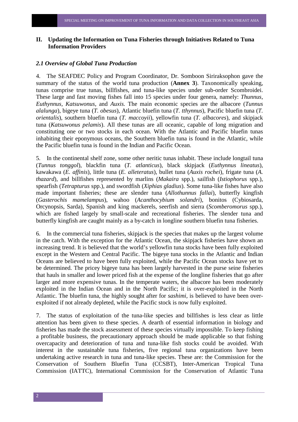#### **II. Updating the Information on Tuna Fisheries through Initiatives Related to Tuna Information Providers**

#### *2.1 Overview of Global Tuna Production*

4. The SEAFDEC Policy and Program Coordinator, Dr. Somboon Siriraksophon gave the summary of the status of the world tuna production (**Annex 3**). Taxonomically speaking, tunas comprise true tunas, billfishes, and tuna-like species under sub-order Scombroidei. These large and fast moving fishes fall into 15 species under four genera, namely: *Thunnus, Euthynnus, Katsuwonus*, and *Auxis.* The main economic species are the albacore (*Tunnus alalunga*), bigeye tuna (*T. obesus*), Atlantic bluefin tuna (*T. tthynnus*), Pacific bluefin tuna (*T. orientalis*), southern bluefin tuna (*T. maccoyii*), yellowfin tuna (*T. albacores*), and skipjack tuna (*Katsuwonus pelamis*). All these tunas are all oceanic, capable of long migration and constituting one or two stocks in each ocean. With the Atlantic and Pacific bluefin tunas inhabiting their eponymous oceans, the Southern bluefin tuna is found in the Atlantic, while the Pacific bluefin tuna is found in the Indian and Pacific Ocean.

5. In the continental shelf zone, some other neritic tunas inhabit. These include longtail tuna (*Tunnus tonggol*), blackfin tuna (*T. atlanticus*), black skipjack (*Euthynnus lineatus*), kawakawa (*E. affinis*), little tuna (*E. alleteratus*), bullet tuna (*Auxis rochei*), frigate tuna (*A. thazard*), and billfishes represented by marlins (*Makaira* spp.), sailfish (*Istiophorus* spp.), spearfish (*Tetrapturus* spp.), and swordfish (*Xiphias gladius*). Some tuna-like fishes have also made important fisheries; these are slender tuna (*Allothunnus fallai*), butterfly kingfish (*Gasterochis mamelampus*), wahoo (*Acanthocybium solandri*), bonitos (Cybiosarda, Orcynopsis, Sarda), Spanish and king mackerels, seerfish and sierra (*Scomberomorus* spp.), which are fished largely by small-scale and recreational fisheries. The slender tuna and butterfly kingfish are caught mainly as a by-catch in longline southern bluefin tuna fisheries.

6. In the commercial tuna fisheries, skipjack is the species that makes up the largest volume in the catch. With the exception for the Atlantic Ocean, the skipjack fisheries have shown an increasing trend. It is believed that the world's yellowfin tuna stocks have been fully exploited except in the Western and Central Pacific. The bigeye tuna stocks in the Atlantic and Indian Oceans are believed to have been fully exploited, while the Pacific Ocean stocks have yet to be determined. The pricey bigeye tuna has been largely harvested in the purse seine fisheries that hauls in smaller and lower priced fish at the expense of the longline fisheries that go after larger and more expensive tunas. In the temperate waters, the albacore has been moderately exploited in the Indian Ocean and in the North Pacific; it is over-exploited in the North Atlantic. The bluefin tuna, the highly sought after for *sashimi,* is believed to have been overexploited if not already depleted, while the Pacific stock is now fully exploited.

7. The status of exploitation of the tuna-like species and billfishes is less clear as little attention has been given to these species. A dearth of essential information in biology and fisheries has made the stock assessment of these species virtually impossible. To keep fishing a profitable business, the precautionary approach should be made applicable so that fishing overcapacity and deterioration of tuna and tuna-like fish stocks could be avoided. With interest in the sustainable tuna fisheries, five regional tuna organizations have been undertaking active research in tuna and tuna-like species. These are: the Commission for the Conservation of Southern Bluefin Tuna (CCSBT), Inter-American Tropical Tuna Commission (IATTC), International Commission for the Conservation of Atlantic Tuna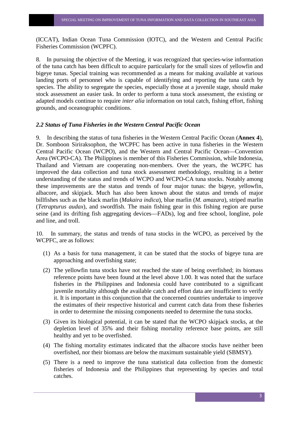(ICCAT), Indian Ocean Tuna Commission (IOTC), and the Western and Central Pacific Fisheries Commission (WCPFC).

8. In pursuing the objective of the Meeting, it was recognized that species-wise information of the tuna catch has been difficult to acquire particularly for the small sizes of yellowfin and bigeye tunas. Special training was recommended as a means for making available at various landing ports of personnel who is capable of identifying and reporting the tuna catch by species. The ability to segregate the species, especially those at a juvenile stage, should make stock assessment an easier task. In order to perform a tuna stock assessment, the existing or adapted models continue to require *inter alia* information on total catch, fishing effort, fishing grounds, and oceanographic conditions.

#### *2.2 Status of Tuna Fisheries in the Western Central Pacific Ocean*

9. In describing the status of tuna fisheries in the Western Central Pacific Ocean (**Annex 4**), Dr. Somboon Siriraksophon, the WCPFC has been active in tuna fisheries in the Western Central Pacific Ocean (WCPO), and the Western and Central Pacific Ocean—Convention Area (WCPO-CA). The Philippines is member of this Fisheries Commission, while Indonesia, Thailand and Vietnam are cooperating non-members. Over the years, the WCPFC has improved the data collection and tuna stock assessment methodology, resulting in a better understanding of the status and trends of WCPO and WCPO-CA tuna stocks. Notably among these improvements are the status and trends of four major tunas: the bigeye, yellowfin, albacore, and skipjack. Much has also been known about the status and trends of major billfishes such as the black marlin (*Makaira indica*), blue marlin (*M. amazara*), striped marlin (*Tetrapturus audax*), and swordfish. The main fishing gear in this fishing region are purse seine (and its drifting fish aggregating devices—FADs), log and free school, longline, pole and line, and troll.

10. In summary, the status and trends of tuna stocks in the WCPO, as perceived by the WCPFC, are as follows:

- (1) As a basis for tuna management, it can be stated that the stocks of bigeye tuna are approaching and overfishing state;
- (2) The yellowfin tuna stocks have not reached the state of being overfished; its biomass reference points have been found at the level above 1.00. It was noted that the surface fisheries in the Philippines and Indonesia could have contributed to a significant juvenile mortality although the available catch and effort data are insufficient to verify it. It is important in this conjunction that the concerned countries undertake to improve the estimates of their respective historical and current catch data from these fisheries in order to determine the missing components needed to determine the tuna stocks.
- (3) Given its biological potential, it can be stated that the WCPO skipjack stocks, at the depletion level of 35% and their fishing mortality reference base points, are still healthy and yet to be overfished.
- (4) The fishing mortality estimates indicated that the albacore stocks have neither been overfished, nor their biomass are below the maximum sustainable yield (SBMSY).
- (5) There is a need to improve the tuna statistical data collection from the domestic fisheries of Indonesia and the Philippines that representing by species and total catches.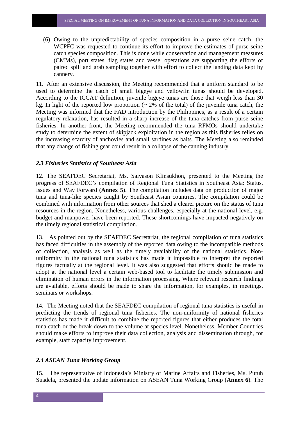(6) Owing to the unpredictability of species composition in a purse seine catch, the WCPFC was requested to continue its effort to improve the estimates of purse seine catch species composition. This is done while conservation and management measures (CMMs), port states, flag states and vessel operations are supporting the efforts of paired spill and grab sampling together with effort to collect the landing data kept by cannery.

11. After an extensive discussion, the Meeting recommended that a uniform standard to be used to determine the catch of small bigeye and yellowfin tunas should be developed. According to the ICCAT definition, juvenile bigeye tunas are those that weigh less than 30 kg. In light of the reported low proportion  $(2\%$  of the total) of the juvenile tuna catch, the Meeting was informed that the FAD introduction by the Philippines, as a result of a certain regulatory relaxation, has resulted in a sharp increase of the tuna catches from purse seine fisheries. In another front, the Meeting recommended the tuna RFMOs should undertake study to determine the extent of skipjack exploitation in the region as this fisheries relies on the increasing scarcity of anchovies and small sardines as baits. The Meeting also reminded that any change of fishing gear could result in a collapse of the canning industry.

#### *2.3 Fisheries Statistics of Southeast Asia*

12. The SEAFDEC Secretariat, Ms. Saivason Klinsukhon, presented to the Meeting the progress of SEAFDEC's compilation of Regional Tuna Statistics in Southeast Asia: Status, Issues and Way Forward (**Annex 5**). The compilation includes data on production of major tuna and tuna-like species caught by Southeast Asian countries. The compilation could be combined with information from other sources that shed a clearer picture on the status of tuna resources in the region. Nonetheless, various challenges, especially at the national level, e.g. budget and manpower have been reported. These shortcomings have impacted negatively on the timely regional statistical compilation.

13. As pointed out by the SEAFDEC Secretariat, the regional compilation of tuna statistics has faced difficulties in the assembly of the reported data owing to the incompatible methods of collection, analysis as well as the timely availability of the national statistics. Nonuniformity in the national tuna statistics has made it impossible to interpret the reported figures factually at the regional level. It was also suggested that efforts should be made to adopt at the national level a certain web-based tool to facilitate the timely submission and elimination of human errors in the information processing. Where relevant research findings are available, efforts should be made to share the information, for examples, in meetings, seminars or workshops.

14. The Meeting noted that the SEAFDEC compilation of regional tuna statistics is useful in predicting the trends of regional tuna fisheries. The non-uniformity of national fisheries statistics has made it difficult to combine the reported figures that either produces the total tuna catch or the break-down to the volume at species level. Nonetheless, Member Countries should make efforts to improve their data collection, analysis and dissemination through, for example, staff capacity improvement.

#### *2.4 ASEAN Tuna Working Group*

15. The representative of Indonesia's Ministry of Marine Affairs and Fisheries, Ms. Putuh Suadela, presented the update information on ASEAN Tuna Working Group (**Annex 6**). The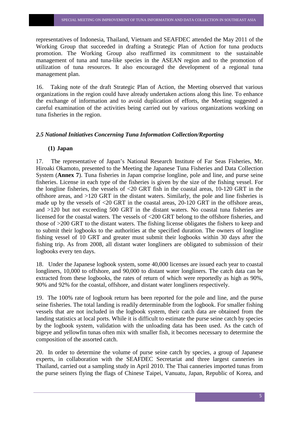representatives of Indonesia, Thailand, Vietnam and SEAFDEC attended the May 2011 of the Working Group that succeeded in drafting a Strategic Plan of Action for tuna products promotion. The Working Group also reaffirmed its commitment to the sustainable management of tuna and tuna-like species in the ASEAN region and to the promotion of utilization of tuna resources. It also encouraged the development of a regional tuna management plan.

16. Taking note of the draft Strategic Plan of Action, the Meeting observed that various organizations in the region could have already undertaken actions along this line. To enhance the exchange of information and to avoid duplication of efforts, the Meeting suggested a careful examination of the activities being carried out by various organizations working on tuna fisheries in the region.

#### *2.5 National Initiatives Concerning Tuna Information Collection/Reporting*

#### **(1) Japan**

17. The representative of Japan's National Research Institute of Far Seas Fisheries, Mr. Hiroaki Okamoto, presented to the Meeting the Japanese Tuna Fisheries and Data Collection System (**Annex 7**). Tuna fisheries in Japan comprise longline, pole and line, and purse seine fisheries. License in each type of the fisheries is given by the size of the fishing vessel. For the longline fisheries, the vessels of <20 GRT fish in the coastal areas, 10-120 GRT in the offshore areas, and >120 GRT in the distant waters. Similarly, the pole and line fisheries is made up by the vessels of <20 GRT in the coastal areas, 20-120 GRT in the offshore areas, and >120 but not exceeding 500 GRT in the distant waters. No coastal tuna fisheries are licensed for the coastal waters. The vessels of <200 GRT belong to the offshore fisheries, and those of >200 GRT to the distant waters. The fishing license obligates the fishers to keep and to submit their logbooks to the authorities at the specified duration. The owners of longline fishing vessel of 10 GRT and greater must submit their logbooks within 30 days after the fishing trip. As from 2008, all distant water longliners are obligated to submission of their logbooks every ten days.

18. Under the Japanese logbook system, some 40,000 licenses are issued each year to coastal longliners, 10,000 to offshore, and 90,000 to distant water longliners. The catch data can be extracted from these logbooks, the rates of return of which were reportedly as high as 90%, 90% and 92% for the coastal, offshore, and distant water longliners respectively.

19. The 100% rate of logbook return has been reported for the pole and line, and the purse seine fisheries. The total landing is readily determinable from the logbook. For smaller fishing vessels that are not included in the logbook system, their catch data are obtained from the landing statistics at local ports. While it is difficult to estimate the purse seine catch by species by the logbook system, validation with the unloading data has been used. As the catch of bigeye and yellowfin tunas often mix with smaller fish, it becomes necessary to determine the composition of the assorted catch.

20. In order to determine the volume of purse seine catch by species, a group of Japanese experts, in collaboration with the SEAFDEC Secretariat and three largest canneries in Thailand, carried out a sampling study in April 2010. The Thai canneries imported tunas from the purse seiners flying the flags of Chinese Taipei, Vanuatu, Japan, Republic of Korea, and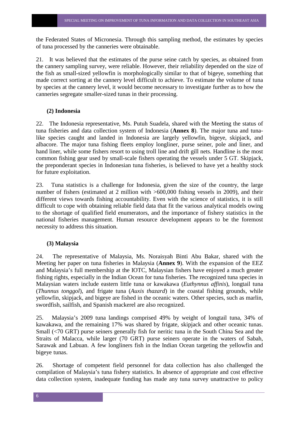the Federated States of Micronesia. Through this sampling method, the estimates by species of tuna processed by the canneries were obtainable.

21. It was believed that the estimates of the purse seine catch by species, as obtained from the cannery sampling survey, were reliable. However, their reliability depended on the size of the fish as small-sized yellowfin is morphologically similar to that of bigeye, something that made correct sorting at the cannery level difficult to achieve. To estimate the volume of tuna by species at the cannery level, it would become necessary to investigate further as to how the canneries segregate smaller-sized tunas in their processing.

#### **(2) Indonesia**

22. The Indonesia representative, Ms. Putuh Suadela, shared with the Meeting the status of tuna fisheries and data collection system of Indonesia (**Annex 8**). The major tuna and tunalike species caught and landed in Indonesia are largely yellowfin, bigeye, skipjack, and albacore. The major tuna fishing fleets employ longliner, purse seiner, pole and liner, and hand liner, while some fishers resort to using troll line and drift gill nets. Handline is the most common fishing gear used by small-scale fishers operating the vessels under 5 GT. Skipjack, the preponderant species in Indonesian tuna fisheries, is believed to have yet a healthy stock for future exploitation.

23. Tuna statistics is a challenge for Indonesia, given the size of the country, the large number of fishers (estimated at 2 million with >600,000 fishing vessels in 2009), and their different views towards fishing accountability. Even with the science of statistics, it is still difficult to cope with obtaining reliable field data that fit the various analytical models owing to the shortage of qualified field enumerators, and the importance of fishery statistics in the national fisheries management. Human resource development appears to be the foremost necessity to address this situation.

#### **(3) Malaysia**

24. The representative of Malaysia, Ms. Noraisyah Binti Abu Bakar, shared with the Meeting her paper on tuna fisheries in Malaysia (**Annex 9**). With the expansion of the EEZ and Malaysia's full membership at the IOTC, Malaysian fishers have enjoyed a much greater fishing rights, especially in the Indian Ocean for tuna fisheries. The recognized tuna species in Malaysian waters include eastern little tuna or kawakawa (*Euthynnus affinis*), longtail tuna (*Thunnus tonggol*), and frigate tuna (*Auxis thazard*) in the coastal fishing grounds, while yellowfin, skipjack, and bigeye are fished in the oceanic waters. Other species, such as marlin, swordfish, sailfish, and Spanish mackerel are also recognized.

25. Malaysia's 2009 tuna landings comprised 49% by weight of longtail tuna, 34% of kawakawa, and the remaining 17% was shared by frigate, skipjack and other oceanic tunas. Small (<70 GRT) purse seiners generally fish for neritic tuna in the South China Sea and the Straits of Malacca, while larger (70 GRT) purse seiners operate in the waters of Sabah, Sarawak and Labuan. A few longliners fish in the Indian Ocean targeting the yellowfin and bigeye tunas.

26. Shortage of competent field personnel for data collection has also challenged the compilation of Malaysia's tuna fishery statistics. In absence of appropriate and cost effective data collection system, inadequate funding has made any tuna survey unattractive to policy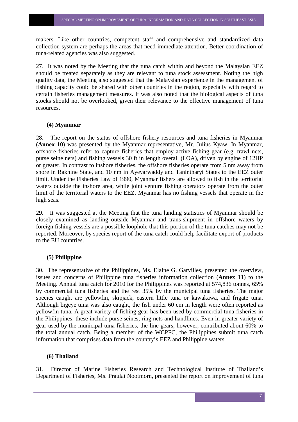makers. Like other countries, competent staff and comprehensive and standardized data collection system are perhaps the areas that need immediate attention. Better coordination of tuna-related agencies was also suggested.

27. It was noted by the Meeting that the tuna catch within and beyond the Malaysian EEZ should be treated separately as they are relevant to tuna stock assessment. Noting the high quality data, the Meeting also suggested that the Malaysian experience in the management of fishing capacity could be shared with other countries in the region, especially with regard to certain fisheries management measures. It was also noted that the biological aspects of tuna stocks should not be overlooked, given their relevance to the effective management of tuna resources.

#### **(4) Myanmar**

28. The report on the status of offshore fishery resources and tuna fisheries in Myanmar (**Annex 10**) was presented by the Myanmar representative, Mr. Julius Kyaw. In Myanmar, offshore fisheries refer to capture fisheries that employ active fishing gear (e.g. trawl nets, purse seine nets) and fishing vessels 30 ft in length overall (LOA), driven by engine of 12HP or greater. In contrast to inshore fisheries, the offshore fisheries operate from 5 nm away from shore in Rakhine State, and 10 nm in Ayeyarwaddy and Tanintharyi States to the EEZ outer limit. Under the Fisheries Law of 1990, Myanmar fishers are allowed to fish in the territorial waters outside the inshore area, while joint venture fishing operators operate from the outer limit of the territorial waters to the EEZ. Myanmar has no fishing vessels that operate in the high seas.

29. It was suggested at the Meeting that the tuna landing statistics of Myanmar should be closely examined as landing outside Myanmar and trans-shipment in offshore waters by foreign fishing vessels are a possible loophole that this portion of the tuna catches may not be reported. Moreover, by species report of the tuna catch could help facilitate export of products to the EU countries.

#### **(5) Philippine**

30. The representative of the Philippines, Ms. Elaine G. Garvilles, presented the overview, issues and concerns of Philippine tuna fisheries information collection (**Annex 11**) to the Meeting. Annual tuna catch for 2010 for the Philippines was reported at 574,836 tonnes, 65% by commercial tuna fisheries and the rest 35% by the municipal tuna fisheries. The major species caught are yellowfin, skipjack, eastern little tuna or kawakawa, and frigate tuna. Although bigeye tuna was also caught, the fish under 60 cm in length were often reported as yellowfin tuna. A great variety of fishing gear has been used by commercial tuna fisheries in the Philippines; these include purse seines, ring nets and handlines. Even in greater variety of gear used by the municipal tuna fisheries, the line gears, however, contributed about 60% to the total annual catch. Being a member of the WCPFC, the Philippines submit tuna catch information that comprises data from the country's EEZ and Philippine waters.

#### **(6) Thailand**

31. Director of Marine Fisheries Research and Technological Institute of Thailand's Department of Fisheries, Ms. Praulai Nootmorn, presented the report on improvement of tuna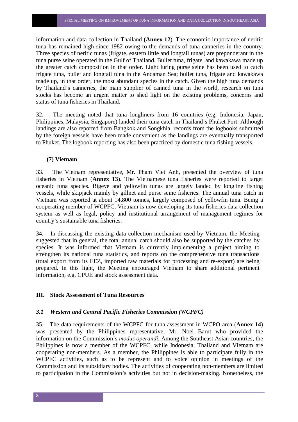information and data collection in Thailand (**Annex 12**). The economic importance of neritic tuna has remained high since 1982 owing to the demands of tuna canneries in the country. Three species of neritic tunas (frigate, eastern little and longtail tunas) are preponderant in the tuna purse seine operated in the Gulf of Thailand. Bullet tuna, frigate, and kawakawa made up the greater catch composition in that order. Light luring purse seine has been used to catch frigate tuna, bullet and longtail tuna in the Andaman Sea; bullet tuna, frigate and kawakawa made up, in that order, the most abundant species in the catch. Given the high tuna demands by Thailand's canneries, the main supplier of canned tuna in the world, research on tuna stocks has become an urgent matter to shed light on the existing problems, concerns and status of tuna fisheries in Thailand.

32. The meeting noted that tuna longliners from 16 countries (e.g. Indonesia, Japan, Philippines, Malaysia, Singapore) landed their tuna catch in Thailand's Phuket Port. Although landings are also reported from Bangkok and Songkhla, records from the logbooks submitted by the foreign vessels have been made convenient as the landings are eventually transported to Phuket. The logbook reporting has also been practiced by domestic tuna fishing vessels.

#### **(7) Vietnam**

33. The Vietnam representative, Mr. Pham Viet Anh, presented the overview of tuna fisheries in Vietnam (**Annex 13**). The Vietnamese tuna fisheries were reported to target oceanic tuna species. Bigeye and yellowfin tunas are largely landed by longline fishing vessels, while skipjack mainly by gillnet and purse seine fisheries. The annual tuna catch in Vietnam was reported at about 14,800 tonnes, largely composed of yellowfin tuna. Being a cooperating member of WCPFC, Vietnam is now developing its tuna fisheries data collection system as well as legal, policy and institutional arrangement of management regimes for country's sustainable tuna fisheries.

34. In discussing the existing data collection mechanism used by Vietnam, the Meeting suggested that in general, the total annual catch should also be supported by the catches by species. It was informed that Vietnam is currently implementing a project aiming to strengthen its national tuna statistics, and reports on the comprehensive tuna transactions (total export from its EEZ, imported raw materials for processing and re-export) are being prepared. In this light, the Meeting encouraged Vietnam to share additional pertinent information, e.g. CPUE and stock assessment data.

#### **III. Stock Assessment of Tuna Resources**

#### *3.1 Western and Central Pacific Fisheries Commission (WCPFC)*

35. The data requirements of the WCPFC for tuna assessment in WCPO area (**Annex 14**) was presented by the Philippines representative, Mr. Noel Barut who provided the information on the Commission's *modus operandi.* Among the Southeast Asian countries, the Philippines is now a member of the WCPFC, while Indonesia, Thailand and Vietnam are cooperating non-members. As a member, the Philippines is able to participate fully in the WCPFC activities, such as to be represent and to voice opinion in meetings of the Commission and its subsidiary bodies. The activities of cooperating non-members are limited to participation in the Commission's activities but not in decision-making. Nonetheless, the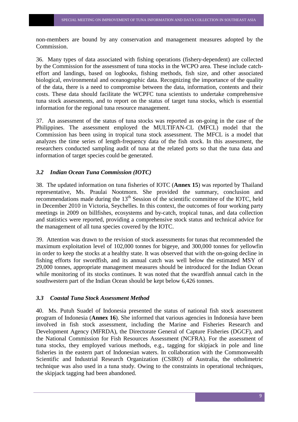non-members are bound by any conservation and management measures adopted by the Commission.

36. Many types of data associated with fishing operations (fishery-dependent) are collected by the Commission for the assessment of tuna stocks in the WCPO area. These include catcheffort and landings, based on logbooks, fishing methods, fish size, and other associated biological, environmental and oceanographic data. Recognizing the importance of the quality of the data, there is a need to compromise between the data, information, contents and their costs. These data should facilitate the WCPFC tuna scientists to undertake comprehensive tuna stock assessments, and to report on the status of target tuna stocks, which is essential information for the regional tuna resource management.

37. An assessment of the status of tuna stocks was reported as on-going in the case of the Philippines. The assessment employed the MULTIFAN-CL (MFCL) model that the Commission has been using in tropical tuna stock assessment. The MFCL is a model that analyzes the time series of length-frequency data of the fish stock. In this assessment, the researchers conducted sampling audit of tuna at the related ports so that the tuna data and information of target species could be generated.

#### *3.2 Indian Ocean Tuna Commission (IOTC)*

38. The updated information on tuna fisheries of IOTC (**Annex 15**) was reported by Thailand representative, Ms. Praulai Nootmorn. She provided the summary, conclusion and recommendations made during the  $13<sup>th</sup>$  Session of the scientific committee of the IOTC, held in December 2010 in Victoria, Seychelles. In this context, the outcomes of four working party meetings in 2009 on billfishes, ecosystems and by-catch, tropical tunas, and data collection and statistics were reported, providing a comprehensive stock status and technical advice for the management of all tuna species covered by the IOTC.

39. Attention was drawn to the revision of stock assessments for tunas that recommended the maximum exploitation level of 102,000 tonnes for bigeye, and 300,000 tonnes for yellowfin in order to keep the stocks at a healthy state. It was observed that with the on-going decline in fishing efforts for swordfish, and its annual catch was well below the estimated MSY of 29,000 tonnes, appropriate management measures should be introduced for the Indian Ocean while monitoring of its stocks continues. It was noted that the swardfish annual catch in the southwestern part of the Indian Ocean should be kept below 6,426 tonnes.

#### *3.3 Coastal Tuna Stock Assessment Method*

40. Ms. Putuh Suadel of Indonesia presented the status of national fish stock assessment program of Indonesia (**Annex 16**). She informed that various agencies in Indonesia have been involved in fish stock assessment, including the Marine and Fisheries Research and Development Agency (MFRDA), the Directorate General of Capture Fisheries (DGCF), and the National Commission for Fish Resources Assessment (NCFRA). For the assessment of tuna stocks, they employed various methods, e.g., tagging for skipjack in pole and line fisheries in the eastern part of Indonesian waters. In collaboration with the Commonwealth Scientific and Industrial Research Organization (CSIRO) of Australia, the otholimetric technique was also used in a tuna study. Owing to the constraints in operational techniques, the skipjack tagging had been abandoned.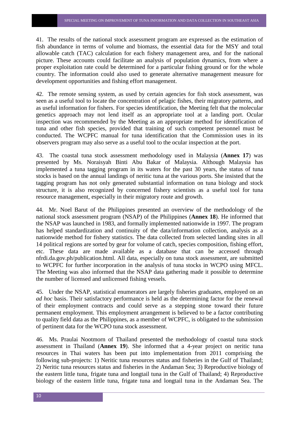41. The results of the national stock assessment program are expressed as the estimation of fish abundance in terms of volume and biomass, the essential data for the MSY and total allowable catch (TAC) calculation for each fishery management area, and for the national picture. These accounts could facilitate an analysis of population dynamics, from where a proper exploitation rate could be determined for a particular fishing ground or for the whole country. The information could also used to generate alternative management measure for development opportunities and fishing effort management.

42. The remote sensing system, as used by certain agencies for fish stock assessment, was seen as a useful tool to locate the concentration of pelagic fishes, their migratory patterns, and as useful information for fishers. For species identification, the Meeting felt that the molecular genetics approach may not lend itself as an appropriate tool at a landing port. Ocular inspection was recommended by the Meeting as an appropriate method for identification of tuna and other fish species, provided that training of such competent personnel must be conducted. The WCPFC manual for tuna identification that the Commission uses in its observers program may also serve as a useful tool to the ocular inspection at the port.

43. The coastal tuna stock assessment methodology used in Malaysia (**Annex 17**) was presented by Ms. Noraisyah Binti Abu Bakar of Malaysia. Although Malaysia has implemented a tuna tagging program in its waters for the past 30 years, the status of tuna stocks is based on the annual landings of neritic tuna at the various ports. She insisted that the tagging program has not only generated substantial information on tuna biology and stock structure, it is also recognized by concerned fishery scientists as a useful tool for tuna resource management, especially in their migratory route and growth.

44. Mr. Noel Barut of the Philippines presented an overview of the methodology of the national stock assessment program (NSAP) of the Philippines (**Annex 18**). He informed that the NSAP was launched in 1983, and formally implemented nationwide in 1997. The program has helped standardization and continuity of the data/information collection, analysis as a nationwide method for fishery statistics. The data collected from selected landing sites in all 14 political regions are sorted by gear for volume of catch, species composition, fishing effort, etc. These data are made available as a database that can be accessed through nfrdi.da.gov.ph/publication.html. All data, especially on tuna stock assessment, are submitted to WCPFC for further incorporation in the analysis of tuna stocks in WCPO using MFCL. The Meeting was also informed that the NSAP data gathering made it possible to determine the number of licensed and unlicensed fishing vessels.

45. Under the NSAP, statistical enumerators are largely fisheries graduates, employed on an *ad hoc* basis. Their satisfactory performance is held as the determining factor for the renewal of their employment contracts and could serve as a stepping stone toward their future permanent employment. This employment arrangement is believed to be a factor contributing to quality field data as the Philippines, as a member of WCPFC, is obligated to the submission of pertinent data for the WCPO tuna stock assessment.

46. Ms. Praulai Nootmorn of Thailand presented the methodology of coastal tuna stock assessment in Thailand (**Annex 19**). She informed that a 4-year project on neritic tuna resources in Thai waters has been put into implementation from 2011 comprising the following sub-projects: 1) Neritic tuna resources status and fisheries in the Gulf of Thailand; 2) Neritic tuna resources status and fisheries in the Andaman Sea; 3) Reproductive biology of the eastern little tuna, frigate tuna and longtail tuna in the Gulf of Thailand; 4) Reproductive biology of the eastern little tuna, frigate tuna and longtail tuna in the Andaman Sea. The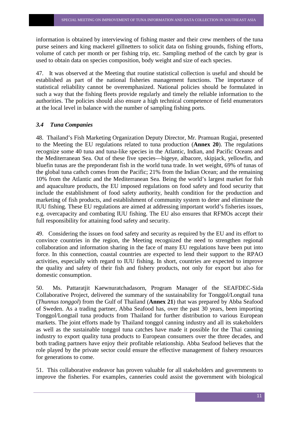information is obtained by interviewing of fishing master and their crew members of the tuna purse seiners and king mackerel gillnetters to solicit data on fishing grounds, fishing efforts, volume of catch per month or per fishing trip, etc. Sampling method of the catch by gear is used to obtain data on species composition, body weight and size of each species.

47. It was observed at the Meeting that routine statistical collection is useful and should be established as part of the national fisheries management functions. The importance of statistical reliability cannot be overemphasized. National policies should be formulated in such a way that the fishing fleets provide regularly and timely the reliable information to the authorities. The policies should also ensure a high technical competence of field enumerators at the local level in balance with the number of sampling fishing ports.

#### *3.4 Tuna Companies*

48. Thailand's Fish Marketing Organization Deputy Director, Mr. Pramuan Rugjai, presented to the Meeting the EU regulations related to tuna production (**Annex 20**). The regulations recognize some 40 tuna and tuna-like species in the Atlantic, Indian, and Pacific Oceans and the Mediterranean Sea. Out of these five species—bigeye, albacore, skipjack, yellowfin, and bluefin tunas are the preponderant fish in the world tuna trade. In wet weight, 69% of tunas of the global tuna cathch comes from the Pacific; 21% from the Indian Ocean; and the remaining 10% from the Atlantic and the Mediterranean Sea. Being the world's largest market for fish and aquaculture products, the EU imposed regulations on food safety and food security that include the establishment of food safety authority, health condition for the production and marketing of fish products, and establishment of community system to deter and eliminate the IUU fishing. These EU regulations are aimed at addressing important world's fisheries issues, e.g. overcapacity and combating IUU fishing. The EU also ensures that RFMOs accept their full responsibility for attaining food safety and security.

49. Considering the issues on food safety and security as required by the EU and its effort to convince countries in the region, the Meeting recognized the need to strengthen regional collaboration and information sharing in the face of many EU regulations have been put into force. In this connection, coastal countries are expected to lend their support to the RPAO activities, especially with regard to IUU fishing. In short, countries are expected to improve the quality and safety of their fish and fishery products, not only for export but also for domestic consumption.

50. Ms. Pattaratjit Kaewnuratchadasorn, Program Manager of the SEAFDEC-Sida Collaborative Project, delivered the summary of the sustainability for Tonggol/Longtail tuna (*Thunnus tonggol*) from the Gulf of Thailand (**Annex 21**) that was prepared by Abba Seafood of Sweden. As a trading partner, Abba Seafood has, over the past 30 years, been importing Tonggol/Longtail tuna products from Thailand for further distribution to various European markets. The joint efforts made by Thailand tonggol canning industry and all its stakeholders as well as the sustainable tonggol tuna catches have made it possible for the Thai canning industry to export quality tuna products to European consumers over the three decades, and both trading partners have enjoy their profitable relationship. Abba Seafood believes that the role played by the private sector could ensure the effective management of fishery resources for generations to come.

51. This collaborative endeavor has proven valuable for all stakeholders and governments to improve the fisheries. For examples, canneries could assist the government with biological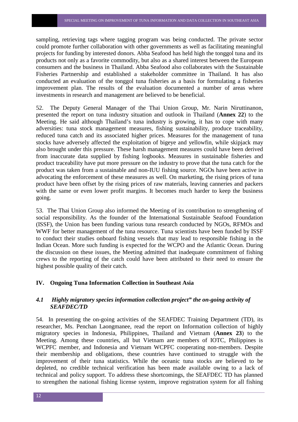sampling, retrieving tags where tagging program was being conducted. The private sector could promote further collaboration with other governments as well as facilitating meaningful projects for funding by interested donors. Abba Seafood has held high the tonggol tuna and its products not only as a favorite commodity, but also as a shared interest between the European consumers and the business in Thailand. Abba Seafood also collaborates with the Sustainable Fisheries Partnership and established a stakeholder committee in Thailand. It has also conducted an evaluation of the tonggol tuna fisheries as a basis for formulating a fisheries improvement plan. The results of the evaluation documented a number of areas where investments in research and management are believed to be beneficial.

52. The Deputy General Manager of the Thai Union Group, Mr. Narin Niruttinanon, presented the report on tuna industry situation and outlook in Thailand (**Annex 22**) to the Meeting. He said although Thailand's tuna industry is growing, it has to cope with many adversities: tuna stock management measures, fishing sustainability, produce traceability, reduced tuna catch and its associated higher prices. Measures for the management of tuna stocks have adversely affected the exploitation of bigeye and yellowfin, while skipjack may also brought under this pressure. These harsh management measures could have been derived from inaccurate data supplied by fishing logbooks. Measures in sustainable fisheries and product traceability have put more pressure on the industry to prove that the tuna catch for the product was taken from a sustainable and non-IUU fishing source. NGOs have been active in advocating the enforcement of these measures as well. On marketing, the rising prices of tuna product have been offset by the rising prices of raw materials, leaving canneries and packers with the same or even lower profit margins. It becomes much harder to keep the business going.

53. The Thai Union Group also informed the Meeting of its contribution to strengthening of social responsibility. As the founder of the International Sustainable Seafood Foundation (ISSF), the Union has been funding various tuna research conducted by NGOs, RFMOs and WWF for better management of the tuna resource. Tuna scientists have been funded by ISSF to conduct their studies onboard fishing vessels that may lead to responsible fishing in the Indian Ocean. More such funding is expected for the WCPO and the Atlantic Ocean. During the discussion on these issues, the Meeting admitted that inadequate commitment of fishing crews to the reporting of the catch could have been attributed to their need to ensure the highest possible quality of their catch.

#### **IV. Ongoing Tuna Information Collection in Southeast Asia**

#### *4.1 Highly migratory species information collection project" the on-going activity of SEAFDEC/TD*

54. In presenting the on-going activities of the SEAFDEC Training Department (TD), its researcher, Ms. Penchan Laongmanee, read the report on Information collection of highly migratory species in Indonesia, Philippines, Thailand and Vietnam (**Annex 23**) to the Meeting. Among these countries, all but Vietnam are members of IOTC, Philippines is WCPFC member, and Indonesia and Vietnam WCPFC cooperating non-members. Despite their membership and obligations, these countries have continued to struggle with the improvement of their tuna statistics. While the oceanic tuna stocks are believed to be depleted, no credible technical verification has been made available owing to a lack of technical and policy support. To address these shortcomings, the SEAFDEC TD has planned to strengthen the national fishing license system, improve registration system for all fishing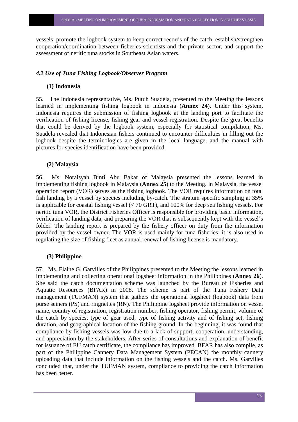vessels, promote the logbook system to keep correct records of the catch, establish/strengthen cooperation/coordination between fisheries scientists and the private sector, and support the assessment of neritic tuna stocks in Southeast Asian waters.

#### *4.2 Use of Tuna Fishing Logbook/Observer Program*

#### **(1) Indonesia**

55. The Indonesia representative, Ms. Putuh Suadela, presented to the Meeting the lessons learned in implementing fishing logbook in Indonesia (**Annex 24**). Under this system, Indonesia requires the submission of fishing logbook at the landing port to facilitate the verification of fishing license, fishing gear and vessel registration. Despite the great benefits that could be derived by the logbook system, especially for statistical compilation, Ms. Suadela revealed that Indonesian fishers continued to encounter difficulties in filling out the logbook despite the terminologies are given in the local language, and the manual with pictures for species identification have been provided.

#### **(2) Malaysia**

56. Ms. Noraisyah Binti Abu Bakar of Malaysia presented the lessons learned in implementing fishing logbook in Malaysia (**Annex 25**) to the Meeting. In Malaysia, the vessel operation report (VOR) serves as the fishing logbook. The VOR requires information on total fish landing by a vessel by species including by-catch. The stratum specific sampling at 35% is applicable for coastal fishing vessel (< 70 GRT), and 100% for deep sea fishing vessels. For neritic tuna VOR, the District Fisheries Officer is responsible for providing basic information, verification of landing data, and preparing the VOR that is subsequently kept with the vessel's folder. The landing report is prepared by the fishery officer on duty from the information provided by the vessel owner. The VOR is used mainly for tuna fisheries; it is also used in regulating the size of fishing fleet as annual renewal of fishing license is mandatory.

#### **(3) Philippine**

57. Ms. Elaine G. Garvilles of the Philippines presented to the Meeting the lessons learned in implementing and collecting operational logsheet information in the Philippines (**Annex 26**). She said the catch documentation scheme was launched by the Bureau of Fisheries and Aquatic Resources (BFAR) in 2008. The scheme is part of the Tuna Fishery Data management (TUFMAN) system that gathers the operational logsheet (logbook) data from purse seiners (PS) and ringnettes (RN). The Philippine logsheet provide information on vessel name, country of registration, registration number, fishing operator, fishing permit, volume of the catch by species, type of gear used, type of fishing activity and of fishing set, fishing duration, and geographical location of the fishing ground. In the beginning, it was found that compliance by fishing vessels was low due to a lack of support, cooperation, understanding, and appreciation by the stakeholders. After series of consultations and explanation of benefit for issuance of EU catch certificate, the compliance has improved. BFAR has also compile, as part of the Philippine Cannery Data Management System (PECAN) the monthly cannery uploading data that include information on the fishing vessels and the catch. Ms. Garvilles concluded that, under the TUFMAN system, compliance to providing the catch information has been better.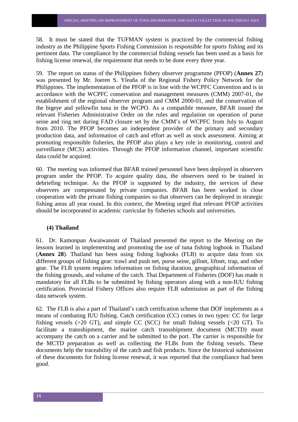58. It must be stated that the TUFMAN system is practiced by the commercial fishing industry as the Philippine Sports Fishing Commission is responsible for sports fishing and its pertinent data. The compliance by the commercial fishing vessels has been used as a basis for fishing license renewal, the requirement that needs to be done every three year.

59. The report on status of the Philippines fishery observer programme (PFOP) (**Annex 27**) was presented by Mr. Joeren S. Yleaña of the Regional Fishery Policy Network for the Philippines. The implementation of the PFOP is in line with the WCPFC Convention and is in accordance with the WCPFC conservation and management measures (CMM) 2007-01, the establishment of the regional observer program and CMM 2000-01, and the conservation of the bigeye and yellowfin tuna in the WCPO. As a compatible measure, BFAR issued the relevant Fisheries Administrative Order on the rules and regulation on operation of purse seine and ring net during FAD closure set by the CMM's of WCPFC from July to August from 2010. The PFOP becomes an independent provider of the primary and secondary production data, and information of catch and effort as well as stock assessment. Aiming at promoting responsible fisheries, the PFOP also plays a key role in monitoring, control and surveillance (MCS) activities. Through the PFOP information channel, important scientific data could be acquired.

60. The meeting was informed that BFAR trained personnel have been deployed in observers program under the PFOP. To acquire quality data, the observers need to be trained in debriefing technique. As the PFOP is supported by the industry, the services of these observers are compensated by private companies. BFAR has been worked in close cooperation with the private fishing companies so that observers can be deployed in strategic fishing areas all year round. In this context, the Meeting urged that relevant PFOP activities should be incorporated in academic curricular by fisheries schools and universities.

#### **(4) Thailand**

61. Dr. Kamonpan Awaiwanont of Thailand presented the report to the Meeting on the lessons learned in implementing and promoting the use of tuna fishing logbook in Thailand (**Annex 28**). Thailand has been using fishing logbooks (FLB) to acquire data from six different groups of fishing gear: trawl and push net, purse seine, gillnet, liftnet, trap, and other gear. The FLB system requires information on fishing duration, geographical information of the fishing grounds, and volume of the catch. Thai Department of Fisheries (DOF) has made it mandatory for all FLBs to be submitted by fishing operators along with a non-IUU fishing certification. Provincial Fishery Offices also require FLB submission as part of the fishing data network system.

62. The FLB is also a part of Thailand's catch certification scheme that DOF implements as a means of combating IUU fishing. Catch certification (CC) comes in two types: CC for large fishing vessels  $(>20 \text{ GT})$ , and simple CC  $(SCC)$  for small fishing vessels  $(<20 \text{ GT})$ . To facilitate a transshipment, the marine catch transshipment document (MCTD) must accompany the catch on a carrier and be submitted to the port. The carrier is responsible for the MCTD preparation as well as collecting the FLBs from the fishing vessels. These documents help the traceability of the catch and fish products. Since the historical submission of these documents for fishing license renewal, it was reported that the compliance had been good.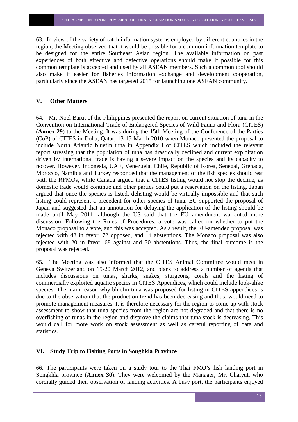63. In view of the variety of catch information systems employed by different countries in the region, the Meeting observed that it would be possible for a common information template to be designed for the entire Southeast Asian region. The available information on past experiences of both effective and defective operations should make it possible for this common template is accepted and used by all ASEAN members. Such a common tool should also make it easier for fisheries information exchange and development cooperation, particularly since the ASEAN has targeted 2015 for launching one ASEAN community.

#### **V. Other Matters**

64. Mr. Noel Barut of the Philippines presented the report on current situation of tuna in the Convention on International Trade of Endangered Species of Wild Fauna and Flora (CITES) (**Annex 29**) to the Meeting. It was during the 15th Meeting of the Conference of the Parties (CoP) of CITES in Doha, Qatar, 13-15 March 2010 when Monaco presented the proposal to include North Atlantic bluefin tuna in Appendix I of CITES which included the relevant report stressing that the population of tuna has drastically declined and current exploitation driven by international trade is having a severe impact on the species and its capacity to recover. However, Indonesia, UAE, Venezuela, Chile, Republic of Korea, Senegal, Grenada, Morocco, Namibia and Turkey responded that the management of the fish species should rest with the RFMOs, while Canada argued that a CITES listing would not stop the decline, as domestic trade would continue and other parties could put a reservation on the listing. Japan argued that once the species is listed, delisting would be virtually impossible and that such listing could represent a precedent for other species of tuna. EU supported the proposal of Japan and suggested that an annotation for delaying the application of the listing should be made until May 2011, although the US said that the EU amendment warranted more discussion. Following the Rules of Procedures, a vote was called on whether to put the Monaco proposal to a vote, and this was accepted. As a result, the EU-amended proposal was rejected with 43 in favor, 72 opposed, and 14 abstentions. The Monaco proposal was also rejected with 20 in favor, 68 against and 30 abstentions. Thus, the final outcome is the proposal was rejected.

65. The Meeting was also informed that the CITES Animal Committee would meet in Geneva Switzerland on 15-20 March 2012, and plans to address a number of agenda that includes discussions on tunas, sharks, snakes, sturgeons, corals and the listing of commercially exploited aquatic species in CITES Appendices, which could include look-alike species. The main reason why bluefin tuna was proposed for listing in CITES appendices is due to the observation that the production trend has been decreasing and thus, would need to promote management measures. It is therefore necessary for the region to come up with stock assessment to show that tuna species from the region are not degraded and that there is no overfishing of tunas in the region and disprove the claims that tuna stock is decreasing. This would call for more work on stock assessment as well as careful reporting of data and statistics.

#### **VI. Study Trip to Fishing Ports in Songhkla Province**

66. The participants were taken on a study tour to the Thai FMO's fish landing port in Songkhla province (**Annex 30**). They were welcomed by the Manager, Mr. Chaiyut, who cordially guided their observation of landing activities. A busy port, the participants enjoyed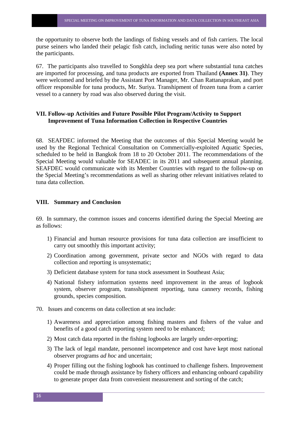the opportunity to observe both the landings of fishing vessels and of fish carriers. The local purse seiners who landed their pelagic fish catch, including neritic tunas were also noted by the participants.

67. The participants also travelled to Songkhla deep sea port where substantial tuna catches are imported for processing, and tuna products are exported from Thailand **(Annex 31)**. They were welcomed and briefed by the Assistant Port Manager, Mr. Chan Rattanaprakan, and port officer responsible for tuna products, Mr. Suriya. Transhipment of frozen tuna from a carrier vessel to a cannery by road was also observed during the visit.

#### **VII. Follow-up Activities and Future Possible Pilot Program/Activity to Support Improvement of Tuna Information Collection in Respective Countries**

68. SEAFDEC informed the Meeting that the outcomes of this Special Meeting would be used by the Regional Technical Consultation on Commercially-exploited Aquatic Species, scheduled to be held in Bangkok from 18 to 20 October 2011. The recommendations of the Special Meeting would valuable for SEADEC in its 2011 and subsequent annual planning. SEAFDEC would communicate with its Member Countries with regard to the follow-up on the Special Meeting's recommendations as well as sharing other relevant initiatives related to tuna data collection.

#### **VIII. Summary and Conclusion**

69. In summary, the common issues and concerns identified during the Special Meeting are as follows:

- 1) Financial and human resource provisions for tuna data collection are insufficient to carry out smoothly this important activity;
- 2) Coordination among government, private sector and NGOs with regard to data collection and reporting is unsystematic;
- 3) Deficient database system for tuna stock assessment in Southeast Asia;
- 4) National fishery information systems need improvement in the areas of logbook system, observer program, transshipment reporting, tuna cannery records, fishing grounds, species composition.
- 70. Issues and concerns on data collection at sea include:
	- 1) Awareness and appreciation among fishing masters and fishers of the value and benefits of a good catch reporting system need to be enhanced;
	- 2) Most catch data reported in the fishing logbooks are largely under-reporting;
	- 3) The lack of legal mandate, personnel incompetence and cost have kept most national observer programs *ad hoc* and uncertain;
	- 4) Proper filling out the fishing logbook has continued to challenge fishers. Improvement could be made through assistance by fishery officers and enhancing onboard capability to generate proper data from convenient measurement and sorting of the catch;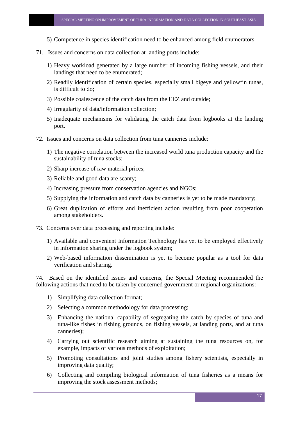- 5) Competence in species identification need to be enhanced among field enumerators.
- 71. Issues and concerns on data collection at landing ports include:
	- 1) Heavy workload generated by a large number of incoming fishing vessels, and their landings that need to be enumerated;
	- 2) Readily identification of certain species, especially small bigeye and yellowfin tunas, is difficult to do;
	- 3) Possible coalescence of the catch data from the EEZ and outside;
	- 4) Irregularity of data/information collection;
	- 5) Inadequate mechanisms for validating the catch data from logbooks at the landing port.
- 72. Issues and concerns on data collection from tuna canneries include:
	- 1) The negative correlation between the increased world tuna production capacity and the sustainability of tuna stocks;
	- 2) Sharp increase of raw material prices;
	- 3) Reliable and good data are scanty;
	- 4) Increasing pressure from conservation agencies and NGOs;
	- 5) Supplying the information and catch data by canneries is yet to be made mandatory;
	- 6) Great duplication of efforts and inefficient action resulting from poor cooperation among stakeholders.
- 73. Concerns over data processing and reporting include:
	- 1) Available and convenient Information Technology has yet to be employed effectively in information sharing under the logbook system;
	- 2) Web-based information dissemination is yet to become popular as a tool for data verification and sharing.

74. Based on the identified issues and concerns, the Special Meeting recommended the following actions that need to be taken by concerned government or regional organizations:

- 1) Simplifying data collection format;
- 2) Selecting a common methodology for data processing;
- 3) Enhancing the national capability of segregating the catch by species of tuna and tuna-like fishes in fishing grounds, on fishing vessels, at landing ports, and at tuna canneries);
- 4) Carrying out scientific research aiming at sustaining the tuna resources on, for example, impacts of various methods of exploitation;
- 5) Promoting consultations and joint studies among fishery scientists, especially in improving data quality;
- 6) Collecting and compiling biological information of tuna fisheries as a means for improving the stock assessment methods;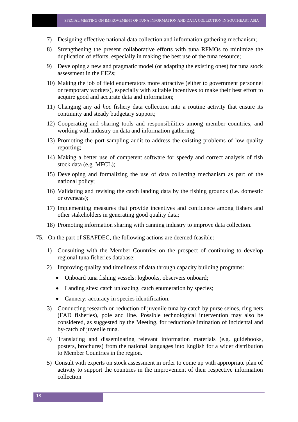- 7) Designing effective national data collection and information gathering mechanism;
- 8) Strengthening the present collaborative efforts with tuna RFMOs to minimize the duplication of efforts, especially in making the best use of the tuna resource;
- 9) Developing a new and pragmatic model (or adapting the existing ones) for tuna stock assessment in the EEZs;
- 10) Making the job of field enumerators more attractive (either to government personnel or temporary workers), especially with suitable incentives to make their best effort to acquire good and accurate data and information;
- 11) Changing any *ad hoc* fishery data collection into a routine activity that ensure its continuity and steady budgetary support;
- 12) Cooperating and sharing tools and responsibilities among member countries, and working with industry on data and information gathering;
- 13) Promoting the port sampling audit to address the existing problems of low quality reporting;
- 14) Making a better use of competent software for speedy and correct analysis of fish stock data (e.g. MFCL);
- 15) Developing and formalizing the use of data collecting mechanism as part of the national policy;
- 16) Validating and revising the catch landing data by the fishing grounds (i.e. domestic or overseas);
- 17) Implementing measures that provide incentives and confidence among fishers and other stakeholders in generating good quality data;
- 18) Promoting information sharing with canning industry to improve data collection.
- 75. On the part of SEAFDEC, the following actions are deemed feasible:
	- 1) Consulting with the Member Countries on the prospect of continuing to develop regional tuna fisheries database;
	- 2) Improving quality and timeliness of data through capacity building programs:
		- Onboard tuna fishing vessels: logbooks, observers onboard;
		- Landing sites: catch unloading, catch enumeration by species:
		- Cannery: accuracy in species identification.
	- 3) Conducting research on reduction of juvenile tuna by-catch by purse seines, ring nets (FAD fisheries), pole and line. Possible technological intervention may also be considered, as suggested by the Meeting, for reduction/elimination of incidental and by-catch of juvenile tuna.
	- 4) Translating and disseminating relevant information materials (e.g. guidebooks, posters, brochures) from the national languages into English for a wider distribution to Member Countries in the region.
	- 5) Consult with experts on stock assessment in order to come up with appropriate plan of activity to support the countries in the improvement of their respective information collection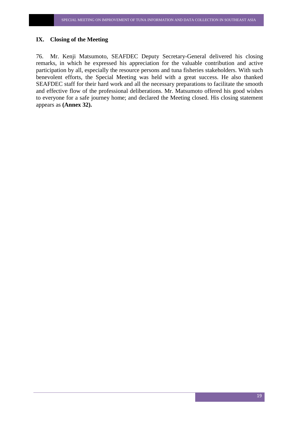#### **IX. Closing of the Meeting**

76. Mr. Kenji Matsumoto, SEAFDEC Deputy Secretary-General delivered his closing remarks, in which he expressed his appreciation for the valuable contribution and active participation by all, especially the resource persons and tuna fisheries stakeholders. With such benevolent efforts, the Special Meeting was held with a great success. He also thanked SEAFDEC staff for their hard work and all the necessary preparations to facilitate the smooth and effective flow of the professional deliberations. Mr. Matsumoto offered his good wishes to everyone for a safe journey home; and declared the Meeting closed. His closing statement appears as **(Annex 32).**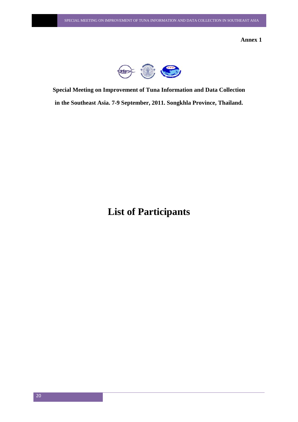**Annex 1**



**Special Meeting on Improvement of Tuna Information and Data Collection in the Southeast Asia. 7-9 September, 2011. Songkhla Province, Thailand.** 

**List of Participants**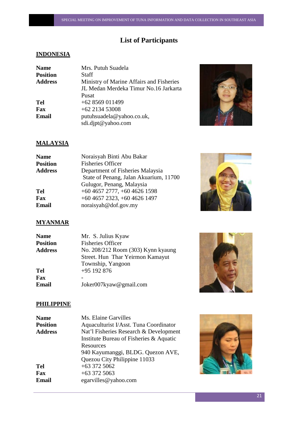# **List of Participants**

# **INDONESIA**

| <b>Name</b><br><b>Position</b><br><b>Address</b> | Mrs. Putuh Suadela<br>Staff<br>Ministry of Marine Affairs and Fisheries |
|--------------------------------------------------|-------------------------------------------------------------------------|
|                                                  | JL Medan Merdeka Timur No.16 Jarkarta<br>Pusat                          |
| <b>Tel</b>                                       | +62 8569 011499                                                         |
| Fax                                              | $+62$ 2134 53008                                                        |
| Email                                            | putuhsuadela@yahoo.co.uk,<br>sdi.djpt@yahoo.com                         |



# **MALAYSIA**

| <b>Name</b>    | Noraisyah Binti Abu Bakar              |
|----------------|----------------------------------------|
| Position       | <b>Fisheries Officer</b>               |
| <b>Address</b> | Department of Fisheries Malaysia       |
|                | State of Penang, Jalan Akuarium, 11700 |
|                | Gulugor, Penang, Malaysia              |
| Tel            | $+6046572777$ , $+6046261598$          |
| Fax            | $+6046572323, +6046261497$             |
| Email          | noraisyah@dof.gov.my                   |
|                |                                        |



# **MYANMAR**

| <b>Name</b>     | Mr. S. Julius Kyaw                 |
|-----------------|------------------------------------|
| <b>Position</b> | <b>Fisheries Officer</b>           |
| <b>Address</b>  | No. 208/212 Room (303) Kynn kyaung |
|                 | Street. Hun Thar Yeirmon Kamayut   |
|                 | Township, Yangoon                  |
| <b>Tel</b>      | $+95$ 192 876                      |
| Fax             |                                    |
| Email           | Joker007kyaw@gmail.com             |



# **PHILIPPINE**

| <b>Name</b>     | Ms. Elaine Garvilles                    |
|-----------------|-----------------------------------------|
| <b>Position</b> | Aquaculturist I/Asst. Tuna Coordinator  |
| <b>Address</b>  | Nat'l Fisheries Research & Development  |
|                 | Institute Bureau of Fisheries & Aquatic |
|                 | Resources                               |
|                 | 940 Kayumanggi, BLDG. Quezon AVE,       |
|                 | Quezou City Philippine 11033            |
| <b>Tel</b>      | $+633725062$                            |
| Fax             | $+633725063$                            |
| Email           | egarvilles@yahoo.com                    |

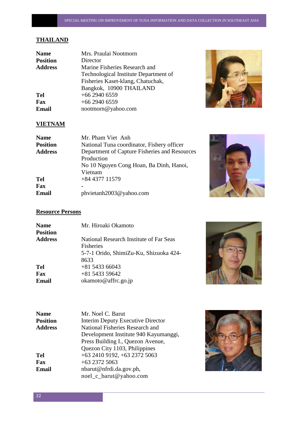# **THAILAND**

| <b>Name</b>     | Mrs. Praulai Nootmorn                 |
|-----------------|---------------------------------------|
| <b>Position</b> | Director                              |
| <b>Address</b>  | Marine Fisheries Research and         |
|                 | Technological Institute Department of |
|                 | Fisheries Kaset-klang, Chatuchak,     |
|                 | Bangkok, 10900 THAILAND               |
| <b>Tel</b>      | $+66$ 2940 6559                       |
| <b>Fax</b>      | $+66$ 2940 6559                       |
| <b>Email</b>    | nootmorn@yahoo.com                    |



# **VIETNAM**

| <b>Name</b>     | Mr. Pham Viet Anh                             |
|-----------------|-----------------------------------------------|
| <b>Position</b> | National Tuna coordinator, Fishery officer    |
| <b>Address</b>  | Department of Capture Fisheries and Resources |
|                 | Production                                    |
|                 | No 10 Nguyen Cong Hoan, Ba Dinh, Hanoi,       |
|                 | Vietnam                                       |
| <b>Tel</b>      | $+84437711579$                                |
| Fax             |                                               |
| Email           | phvietanh2003@yahoo.com                       |



# **Resource Persons**

| <b>Name</b><br><b>Position</b> | Mr. Hiroaki Okamoto                                                                                           |
|--------------------------------|---------------------------------------------------------------------------------------------------------------|
| <b>Address</b>                 | National Research Institute of Far Seas<br><b>Fisheries</b><br>5-7-1 Orido, ShimiZu-Ku, Shizuoka 424-<br>8633 |
| Tel                            | $+81543366043$                                                                                                |
| <b>Fax</b><br>Email            | $+81543359642$<br>okamoto@affrc.go.jp                                                                         |



| <b>Name</b>     | Mr. Noel C. Barut                        |
|-----------------|------------------------------------------|
| <b>Position</b> | <b>Interim Deputy Executive Director</b> |
| <b>Address</b>  | National Fisheries Research and          |
|                 | Development Institute 940 Kayumanggi,    |
|                 | Press Building I., Quezon Avenue,        |
|                 | Quezon City 1103, Philippines            |
| <b>Tel</b>      | +63 2410 9192, +63 2372 5063             |
| Fax             | $+63$ 2372 5063                          |
| <b>Email</b>    | nbarut@nfrdi.da.gov.ph,                  |
|                 | noel_c_barut@yahoo.com                   |

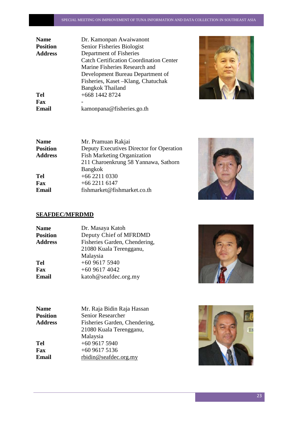| <b>Name</b>     | Dr. Kamonpan Awaiwanont                        |
|-----------------|------------------------------------------------|
| <b>Position</b> | Senior Fisheries Biologist                     |
| <b>Address</b>  | Department of Fisheries                        |
|                 | <b>Catch Certification Coordination Center</b> |
|                 | Marine Fisheries Research and                  |
|                 | Development Bureau Department of               |
|                 | Fisheries, Kaset – Klang, Chatuchak            |
|                 | <b>Bangkok Thailand</b>                        |
| Tel             | +668 1442 8724                                 |
| <b>Fax</b>      |                                                |
| Email           | kamonpana@fisheries.go.th                      |



| <b>Name</b>    | Mr. Pramuan Rakjai                       |
|----------------|------------------------------------------|
| Position       | Deputy Executives Director for Operation |
| <b>Address</b> | <b>Fish Marketing Organization</b>       |
|                | 211 Charoenkrung 58 Yannawa, Sathorn     |
|                | <b>Bangkok</b>                           |
| Tel            | $+6622110330$                            |
| Fax            | $+6622116147$                            |
| Email          | fishmarket@fishmarket.co.th              |
|                |                                          |



# **SEAFDEC/MFRDMD**

| <b>Name</b>     | Dr. Masaya Katoh              |
|-----------------|-------------------------------|
| <b>Position</b> | Deputy Chief of MFRDMD        |
| <b>Address</b>  | Fisheries Garden, Chendering, |
|                 | 21080 Kuala Terengganu,       |
|                 | Malaysia                      |
| <b>Tel</b>      | $+60$ 9617 5940               |
| Fax             | $+60$ 9617 4042               |
| <b>Email</b>    | katoh@seafdec.org.my          |



| <b>Name</b>     | Mr. Raja Bidin Raja Hassan    |
|-----------------|-------------------------------|
| <b>Position</b> | Senior Researcher             |
| <b>Address</b>  | Fisheries Garden, Chendering, |
|                 | 21080 Kuala Terengganu,       |
|                 | Malaysia                      |
| <b>Tel</b>      | $+6096175940$                 |
| Fax             | $+6096175136$                 |
| Email           | rbidin@seafdec.org.my         |

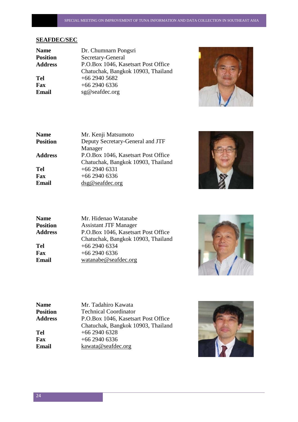# **SEAFDEC/SEC**

| <b>Name</b>    | Dr. Chumnarn Pongsri                |
|----------------|-------------------------------------|
| Position       | Secretary-General                   |
| <b>Address</b> | P.O.Box 1046, Kasetsart Post Office |
|                | Chatuchak, Bangkok 10903, Thailand  |
| Tel            | $+66$ 2940 5682                     |
| Fax            | $+6629406336$                       |
| Email          | sg@seafdec.org                      |
|                |                                     |



| <b>Name</b>     | Mr. Kenji Matsumoto                 |
|-----------------|-------------------------------------|
| <b>Position</b> | Deputy Secretary-General and JTF    |
|                 | Manager                             |
| <b>Address</b>  | P.O.Box 1046, Kasetsart Post Office |
|                 | Chatuchak, Bangkok 10903, Thailand  |
| <b>Tel</b>      | $+6629406331$                       |
| Fax             | $+6629406336$                       |
| <b>Email</b>    | dsg@seafdec.org                     |
|                 |                                     |



| <b>Name</b>     | Mr. Hidenao Watanabe                |
|-----------------|-------------------------------------|
| <b>Position</b> | <b>Assistant JTF Manager</b>        |
| <b>Address</b>  | P.O.Box 1046, Kasetsart Post Office |
|                 | Chatuchak, Bangkok 10903, Thailand  |
| Tel             | $+66$ 2940 6334                     |
| Fax             | $+66$ 2940 6336                     |
| Email           | watanabe@seafdec.org                |
|                 |                                     |



| <b>Name</b>     | Mr. Tadahiro Kawata                 |
|-----------------|-------------------------------------|
| <b>Position</b> | <b>Technical Coordinator</b>        |
| <b>Address</b>  | P.O.Box 1046, Kasetsart Post Office |
|                 | Chatuchak, Bangkok 10903, Thailand  |
| <b>Tel</b>      | $+66$ 2940 6328                     |
| Fax             | $+66$ 2940 6336                     |
| <b>Email</b>    | kawata@seafdec.org                  |

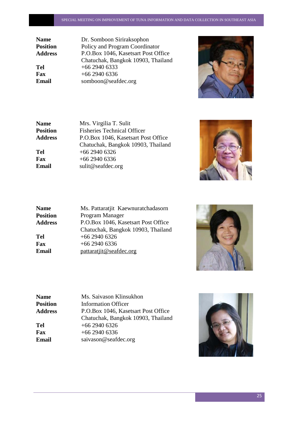**Name** Dr. Somboon Siriraksophon **Position** Policy and Program Coordinator **Address** P.O.Box 1046, Kasetsart Post Office Chatuchak, Bangkok 10903, Thailand **Tel** +66 2940 6333<br>**Fax** +66 2940 6336 **Fax** +66 2940 6336<br>**Email** somboon@seaf **Email** somboon@seafdec.org



| Mrs. Virgilia T. Sulit              |
|-------------------------------------|
| <b>Fisheries Technical Officer</b>  |
| P.O.Box 1046, Kasetsart Post Office |
| Chatuchak, Bangkok 10903, Thailand  |
| $+66$ 2940 6326                     |
| $+66$ 2940 6336                     |
| sulit@seafdec.org                   |
|                                     |



| <b>Name</b>     | Ms. Pattaratjit Kaewnuratchadasorn  |
|-----------------|-------------------------------------|
| <b>Position</b> | Program Manager                     |
| <b>Address</b>  | P.O.Box 1046, Kasetsart Post Office |
|                 | Chatuchak, Bangkok 10903, Thailand  |
| Tel             | $+66$ 2940 6326                     |
| Fax             | $+66$ 2940 6336                     |
| Email           | pattaratjit@seafdec.org             |



| <b>Name</b>     | Ms. Saivason Klinsukhon             |
|-----------------|-------------------------------------|
| <b>Position</b> | <b>Information Officer</b>          |
| <b>Address</b>  | P.O.Box 1046, Kasetsart Post Office |
|                 | Chatuchak, Bangkok 10903, Thailand  |
| <b>Tel</b>      | $+66$ 2940 6326                     |
| Fax             | $+66$ 2940 6336                     |
| <b>Email</b>    | saivason@seafdec.org                |
|                 |                                     |

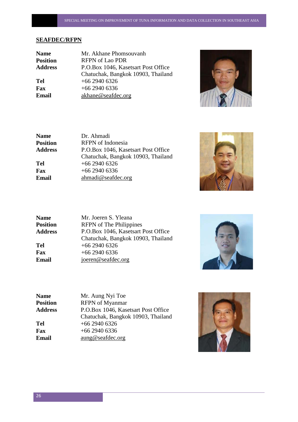#### **SEAFDEC/RFPN**

| <b>Name</b>    | Mr. Akhane Phomsouvanh              |
|----------------|-------------------------------------|
| Position       | <b>RFPN</b> of Lao PDR              |
| <b>Address</b> | P.O.Box 1046, Kasetsart Post Office |
|                | Chatuchak, Bangkok 10903, Thailand  |
| Tel            | $+66$ 2940 6326                     |
| Fax            | $+6629406336$                       |
| Email          | akhane@seafdec.org                  |
|                |                                     |



| <b>Name</b>    | Dr. Ahmadi                          |
|----------------|-------------------------------------|
| Position       | <b>RFPN</b> of Indonesia            |
| <b>Address</b> | P.O.Box 1046, Kasetsart Post Office |
|                | Chatuchak, Bangkok 10903, Thailand  |
| Tel            | $+66$ 2940 6326                     |
| Fax            | $+66$ 2940 6336                     |
| Email          | ahmadi@seafdec.org                  |
|                |                                     |



| <b>Name</b>    |
|----------------|
| Position       |
| <b>Address</b> |
|                |
| Tel            |
| Fax            |
| Email          |
|                |

**Mr. Joeren S. Yleana Position** RFPN of The Philippines **Address** P.O.Box 1046, Kasetsart Post Office Chatuchak, Bangkok 10903, Thailand **Tel** +66 2940 6326 **Fax** +66 2940 6336 **Email** [joeren@seafdec.org](mailto:joeren@seafdec.org)



| <b>Name</b>    | Mr. Aung Nyi Toe                    |
|----------------|-------------------------------------|
| Position       | <b>RFPN</b> of Myanmar              |
| <b>Address</b> | P.O.Box 1046, Kasetsart Post Office |
|                | Chatuchak, Bangkok 10903, Thailand  |
| Tel            | $+66$ 2940 6326                     |
| Fax            | $+66$ 2940 6336                     |
| Email          | $a$ ung@seafdec.org                 |
|                |                                     |

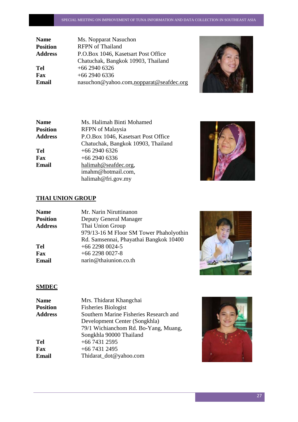| <b>Name</b>     | Ms. Nopparat Nasuchon                   |
|-----------------|-----------------------------------------|
| <b>Position</b> | <b>RFPN</b> of Thailand                 |
| <b>Address</b>  | P.O.Box 1046, Kasetsart Post Office     |
|                 | Chatuchak, Bangkok 10903, Thailand      |
| Tel             | $+66$ 2940 6326                         |
| Fax             | $+66$ 2940 6336                         |
| Email           | nasuchon@yahoo.com,nopparat@seafdec.org |
|                 |                                         |



| <b>Name</b>    | Ms. Halimah Binti Mohamed           |
|----------------|-------------------------------------|
| Position       | <b>RFPN</b> of Malaysia             |
| <b>Address</b> | P.O.Box 1046, Kasetsart Post Office |
|                | Chatuchak, Bangkok 10903, Thailand  |
| Tel            | $+66$ 2940 6326                     |
| Fax            | $+66$ 2940 6336                     |
| Email          | halimah@seafdec.org,                |
|                | imahm@hotmail.com,                  |
|                | halimah@fri.gov.my                  |



# **THAI UNION GROUP**

| <b>Name</b>     | Mr. Narin Niruttinanon                  |
|-----------------|-----------------------------------------|
| <b>Position</b> | Deputy General Manager                  |
| <b>Address</b>  | Thai Union Group                        |
|                 | 979/13-16 M Floor SM Tower Phaholyothin |
|                 | Rd. Samsennai, Phayathai Bangkok 10400  |
| <b>Tel</b>      | $+66$ 2298 0024-5                       |
| Fax             | $+66$ 2298 0027-8                       |
| <b>Email</b>    | narin@thaiunion.co.th                   |
|                 |                                         |



# **SMDEC**

| <b>Name</b>     | Mrs. Thidarat Khangchai                |
|-----------------|----------------------------------------|
| <b>Position</b> | <b>Fisheries Biologist</b>             |
| <b>Address</b>  | Southern Marine Fisheries Research and |
|                 | Development Center (Songkhla)          |
|                 | 79/1 Wichianchom Rd. Bo-Yang, Muang,   |
|                 | Songkhla 90000 Thailand                |
| <b>Tel</b>      | $+6674312595$                          |
| Fax             | $+6674312495$                          |
| <b>Email</b>    | Thidarat_dot@yahoo.com                 |
|                 |                                        |

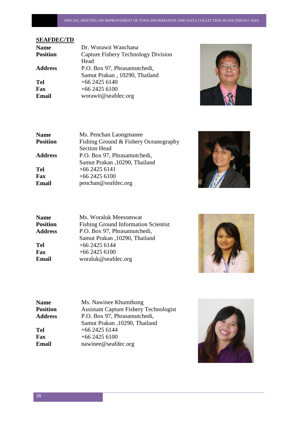# **SEAFDEC/TD**

| Capture Fishery Technology Division |
|-------------------------------------|
|                                     |
| P.O. Box 97, Phrasamutchedi,        |
| Samut Prakan, 10290, Thailand       |
|                                     |
|                                     |
|                                     |
|                                     |



| <b>Name</b>     | Ms. Penchan Laongmanee                |
|-----------------|---------------------------------------|
| <b>Position</b> | Fishing Ground & Fishery Oceanography |
|                 | <b>Section Head</b>                   |
| <b>Address</b>  | P.O. Box 97, Phrasamutchedi,          |
|                 | Samut Prakan , 10290, Thailand        |
| <b>Tel</b>      | $+6624256141$                         |
| Fax             | $+6624256100$                         |
| <b>Email</b>    | penchan@seafdec.org                   |
|                 |                                       |



| <b>Name</b>     | Ms. Woraluk Meesomwat                       |
|-----------------|---------------------------------------------|
| <b>Position</b> | <b>Fishing Ground Information Scientist</b> |
| <b>Address</b>  | P.O. Box 97, Phrasamutchedi,                |
|                 | Samut Prakan , 10290, Thailand              |
| <b>Tel</b>      | $+6624256144$                               |
| Fax             | $+6624256100$                               |
| Email           | woraluk@seafdec.org                         |
|                 |                                             |



| <b>Name</b>    | Ms. Nawinee Khumthong                         |
|----------------|-----------------------------------------------|
| Position       | <b>Assistant Capture Fishery Technologist</b> |
| <b>Address</b> | P.O. Box 97, Phrasamutchedi,                  |
|                | Samut Prakan , 10290, Thailand                |
| Tel            | $+6624256144$                                 |
| Fax            | $+6624256100$                                 |
| Email          | nawinee@seafdec.org                           |
|                |                                               |